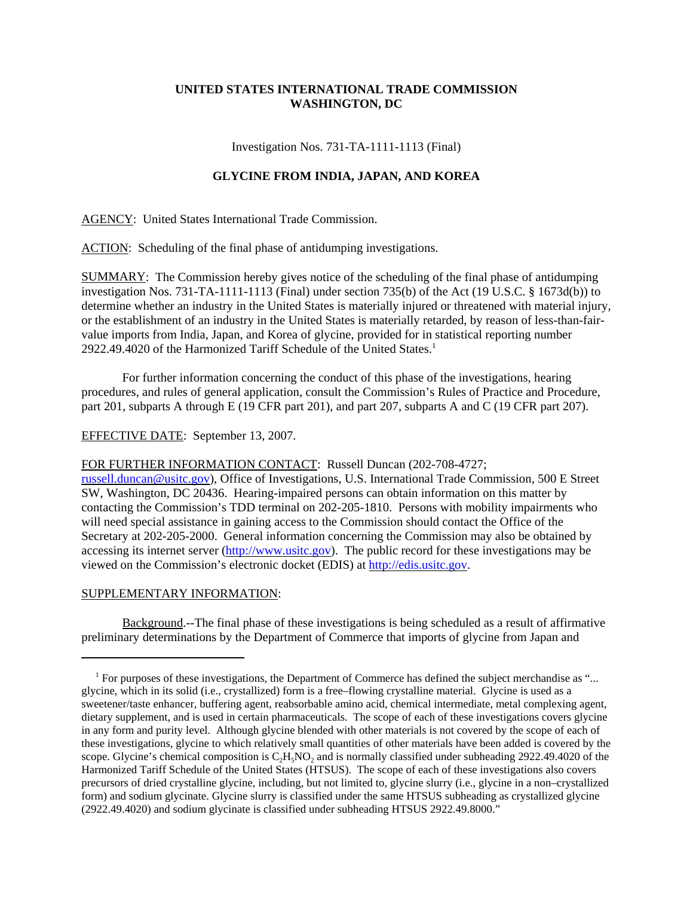## **UNITED STATES INTERNATIONAL TRADE COMMISSION WASHINGTON, DC**

Investigation Nos. 731-TA-1111-1113 (Final)

## **GLYCINE FROM INDIA, JAPAN, AND KOREA**

AGENCY: United States International Trade Commission.

ACTION: Scheduling of the final phase of antidumping investigations.

SUMMARY: The Commission hereby gives notice of the scheduling of the final phase of antidumping investigation Nos. 731-TA-1111-1113 (Final) under section 735(b) of the Act (19 U.S.C. § 1673d(b)) to determine whether an industry in the United States is materially injured or threatened with material injury, or the establishment of an industry in the United States is materially retarded, by reason of less-than-fairvalue imports from India, Japan, and Korea of glycine, provided for in statistical reporting number 2922.49.4020 of the Harmonized Tariff Schedule of the United States.<sup>1</sup>

For further information concerning the conduct of this phase of the investigations, hearing procedures, and rules of general application, consult the Commission's Rules of Practice and Procedure, part 201, subparts A through E (19 CFR part 201), and part 207, subparts A and C (19 CFR part 207).

EFFECTIVE DATE: September 13, 2007.

FOR FURTHER INFORMATION CONTACT: Russell Duncan (202-708-4727;

russell.duncan@usitc.gov), Office of Investigations, U.S. International Trade Commission, 500 E Street SW, Washington, DC 20436. Hearing-impaired persons can obtain information on this matter by contacting the Commission's TDD terminal on 202-205-1810. Persons with mobility impairments who will need special assistance in gaining access to the Commission should contact the Office of the Secretary at 202-205-2000. General information concerning the Commission may also be obtained by accessing its internet server (http://www.usitc.gov). The public record for these investigations may be viewed on the Commission's electronic docket (EDIS) at http://edis.usitc.gov.

## SUPPLEMENTARY INFORMATION:

Background.--The final phase of these investigations is being scheduled as a result of affirmative preliminary determinations by the Department of Commerce that imports of glycine from Japan and

<sup>&</sup>lt;sup>1</sup> For purposes of these investigations, the Department of Commerce has defined the subject merchandise as "... glycine, which in its solid (i.e., crystallized) form is a free–flowing crystalline material. Glycine is used as a sweetener/taste enhancer, buffering agent, reabsorbable amino acid, chemical intermediate, metal complexing agent, dietary supplement, and is used in certain pharmaceuticals. The scope of each of these investigations covers glycine in any form and purity level. Although glycine blended with other materials is not covered by the scope of each of these investigations, glycine to which relatively small quantities of other materials have been added is covered by the scope. Glycine's chemical composition is C<sub>2</sub>H<sub>5</sub>NO<sub>2</sub> and is normally classified under subheading 2922.49.4020 of the Harmonized Tariff Schedule of the United States (HTSUS). The scope of each of these investigations also covers precursors of dried crystalline glycine, including, but not limited to, glycine slurry (i.e., glycine in a non–crystallized form) and sodium glycinate. Glycine slurry is classified under the same HTSUS subheading as crystallized glycine (2922.49.4020) and sodium glycinate is classified under subheading HTSUS 2922.49.8000."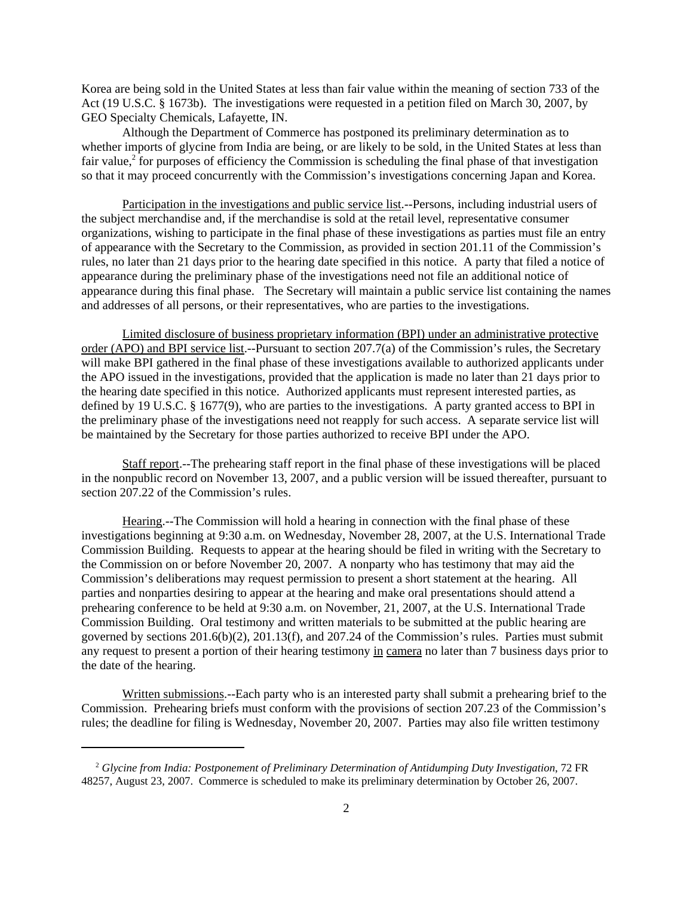Korea are being sold in the United States at less than fair value within the meaning of section 733 of the Act (19 U.S.C. § 1673b). The investigations were requested in a petition filed on March 30, 2007, by GEO Specialty Chemicals, Lafayette, IN.

Although the Department of Commerce has postponed its preliminary determination as to whether imports of glycine from India are being, or are likely to be sold, in the United States at less than fair value, $2$  for purposes of efficiency the Commission is scheduling the final phase of that investigation so that it may proceed concurrently with the Commission's investigations concerning Japan and Korea.

Participation in the investigations and public service list.--Persons, including industrial users of the subject merchandise and, if the merchandise is sold at the retail level, representative consumer organizations, wishing to participate in the final phase of these investigations as parties must file an entry of appearance with the Secretary to the Commission, as provided in section 201.11 of the Commission's rules, no later than 21 days prior to the hearing date specified in this notice. A party that filed a notice of appearance during the preliminary phase of the investigations need not file an additional notice of appearance during this final phase. The Secretary will maintain a public service list containing the names and addresses of all persons, or their representatives, who are parties to the investigations.

Limited disclosure of business proprietary information (BPI) under an administrative protective order (APO) and BPI service list.--Pursuant to section 207.7(a) of the Commission's rules, the Secretary will make BPI gathered in the final phase of these investigations available to authorized applicants under the APO issued in the investigations, provided that the application is made no later than 21 days prior to the hearing date specified in this notice. Authorized applicants must represent interested parties, as defined by 19 U.S.C. § 1677(9), who are parties to the investigations. A party granted access to BPI in the preliminary phase of the investigations need not reapply for such access. A separate service list will be maintained by the Secretary for those parties authorized to receive BPI under the APO.

Staff report.--The prehearing staff report in the final phase of these investigations will be placed in the nonpublic record on November 13, 2007, and a public version will be issued thereafter, pursuant to section 207.22 of the Commission's rules.

Hearing.--The Commission will hold a hearing in connection with the final phase of these investigations beginning at 9:30 a.m. on Wednesday, November 28, 2007, at the U.S. International Trade Commission Building. Requests to appear at the hearing should be filed in writing with the Secretary to the Commission on or before November 20, 2007. A nonparty who has testimony that may aid the Commission's deliberations may request permission to present a short statement at the hearing. All parties and nonparties desiring to appear at the hearing and make oral presentations should attend a prehearing conference to be held at 9:30 a.m. on November, 21, 2007, at the U.S. International Trade Commission Building. Oral testimony and written materials to be submitted at the public hearing are governed by sections 201.6(b)(2), 201.13(f), and 207.24 of the Commission's rules. Parties must submit any request to present a portion of their hearing testimony in camera no later than 7 business days prior to the date of the hearing.

Written submissions.--Each party who is an interested party shall submit a prehearing brief to the Commission. Prehearing briefs must conform with the provisions of section 207.23 of the Commission's rules; the deadline for filing is Wednesday, November 20, 2007. Parties may also file written testimony

 <sup>2</sup> *Glycine from India: Postponement of Preliminary Determination of Antidumping Duty Investigation*, 72 FR 48257, August 23, 2007. Commerce is scheduled to make its preliminary determination by October 26, 2007.